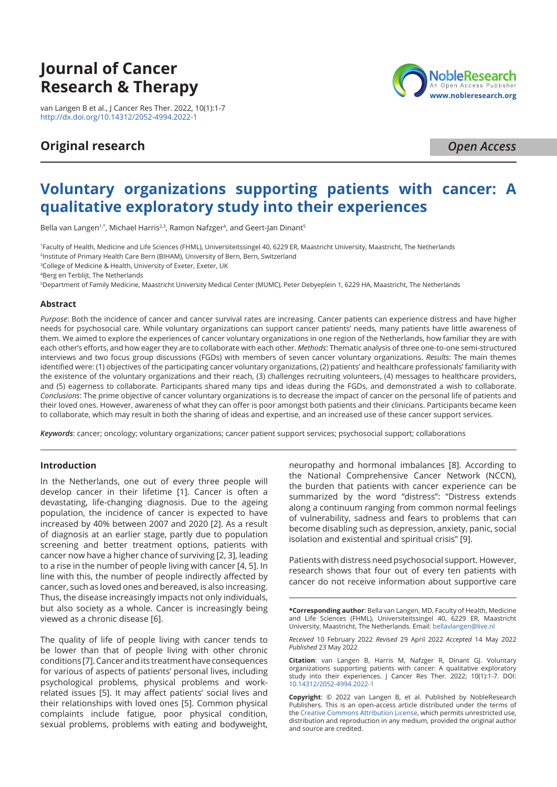# **Journal of Cancer Research & Therapy**

van Langen B et al., J Cancer Res Ther. 2022, 10(1):1-7 <http://dx.doi.org/10.14312/2052-4994.2022-1>

## **Original research**

**NobleResear** An Open Access Publisher www.nobleresearch.org

*Open Access*

## **Voluntary organizations supporting patients with cancer: A qualitative exploratory study into their experiences**

Bella van Langen<sup>1,\*</sup>, Michael Harris<sup>2,3</sup>, Ramon Nafzger<sup>4</sup>, and Geert-Jan Dinant<sup>s</sup>

1 Faculty of Health, Medicine and Life Sciences (FHML), Universiteitssingel 40, 6229 ER, Maastricht University, Maastricht, The Netherlands

2 Institute of Primary Health Care Bern (BIHAM), University of Bern, Bern, Switzerland

3 College of Medicine & Health, University of Exeter, Exeter, UK

4 Berg en Terblijt, The Netherlands

5 Department of Family Medicine, Maastricht University Medical Center (MUMC), Peter Debyeplein 1, 6229 HA, Maastricht, The Netherlands

## **Abstract**

*Purpose*: Both the incidence of cancer and cancer survival rates are increasing. Cancer patients can experience distress and have higher needs for psychosocial care. While voluntary organizations can support cancer patients' needs, many patients have little awareness of them. We aimed to explore the experiences of cancer voluntary organizations in one region of the Netherlands, how familiar they are with each other's efforts, and how eager they are to collaborate with each other. *Methods*: Thematic analysis of three one-to-one semi-structured interviews and two focus group discussions (FGDs) with members of seven cancer voluntary organizations. *Results*: The main themes identified were: (1) objectives of the participating cancer voluntary organizations, (2) patients' and healthcare professionals' familiarity with the existence of the voluntary organizations and their reach, (3) challenges recruiting volunteers, (4) messages to healthcare providers, and (5) eagerness to collaborate. Participants shared many tips and ideas during the FGDs, and demonstrated a wish to collaborate. *Conclusions*: The prime objective of cancer voluntary organizations is to decrease the impact of cancer on the personal life of patients and their loved ones. However, awareness of what they can offer is poor amongst both patients and their clinicians. Participants became keen to collaborate, which may result in both the sharing of ideas and expertise, and an increased use of these cancer support services.

*Keywords*: cancer; oncology; voluntary organizations; cancer patient support services; psychosocial support; collaborations

## **Introduction**

In the Netherlands, one out of every three people will develop cancer in their lifetime [1]. Cancer is often a devastating, life-changing diagnosis. Due to the ageing population, the incidence of cancer is expected to have increased by 40% between 2007 and 2020 [2]. As a result of diagnosis at an earlier stage, partly due to population screening and better treatment options, patients with cancer now have a higher chance of surviving [2, 3], leading to a rise in the number of people living with cancer [4, 5]. In line with this, the number of people indirectly affected by cancer, such as loved ones and bereaved, is also increasing. Thus, the disease increasingly impacts not only individuals, but also society as a whole. Cancer is increasingly being viewed as a chronic disease [6].

The quality of life of people living with cancer tends to be lower than that of people living with other chronic conditions [7]. Cancer and its treatment have consequences for various of aspects of patients' personal lives, including psychological problems, physical problems and workrelated issues [5]. It may affect patients' social lives and their relationships with loved ones [5]. Common physical complaints include fatigue, poor physical condition, sexual problems, problems with eating and bodyweight, neuropathy and hormonal imbalances [8]. According to the National Comprehensive Cancer Network (NCCN), the burden that patients with cancer experience can be summarized by the word "distress": "Distress extends along a continuum ranging from common normal feelings of vulnerability, sadness and fears to problems that can become disabling such as depression, anxiety, panic, social isolation and existential and spiritual crisis" [9].

Patients with distress need psychosocial support. However, research shows that four out of every ten patients with cancer do not receive information about supportive care

**\*Corresponding author**: Bella van Langen, MD, Faculty of Health, Medicine and Life Sciences (FHML), Universiteitssingel 40, 6229 ER, Maastricht University, Maastricht, The Netherlands. Email: [bellavlangen@live.nl](mailto:bellavlangen@live.nl)

*Received* 10 February 2022 *Revised* 29 April 2022 *Accepted* 14 May 2022 *Published* 23 May 2022

**Citation**: van Langen B, Harris M, Nafzger R, Dinant GJ. Voluntary organizations supporting patients with cancer: A qualitative exploratory study into their experiences. J Cancer Res Ther. 2022; 10(1):1-7. DOI: [10.14312/2052-4994.2022-1](http://dx.doi.org/10.14312/2052-4994.2022-1)

**Copyright**: © 2022 van Langen B, et al. Published by NobleResearch Publishers. This is an open-access article distributed under the terms of the [Creative Commons Attribution License](https://creativecommons.org/licenses/by/4.0/), which permits unrestricted use, distribution and reproduction in any medium, provided the original author and source are credited.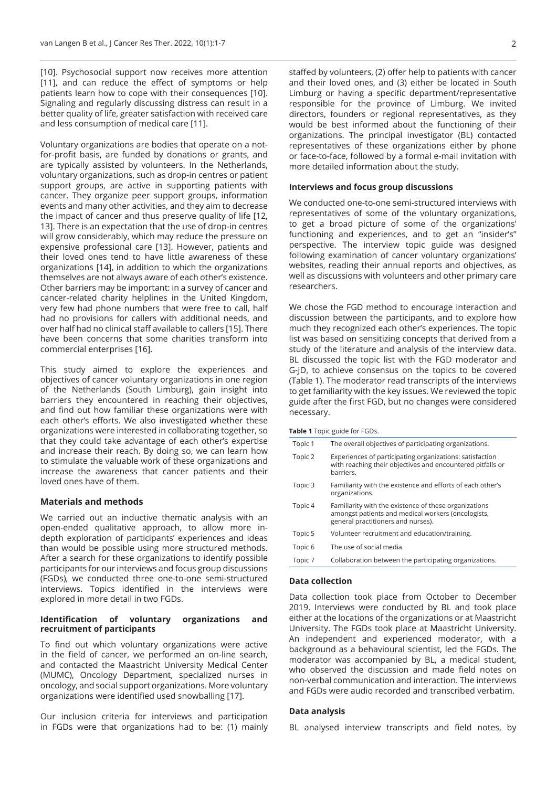[10]. Psychosocial support now receives more attention [11], and can reduce the effect of symptoms or help patients learn how to cope with their consequences [10]. Signaling and regularly discussing distress can result in a better quality of life, greater satisfaction with received care and less consumption of medical care [11].

Voluntary organizations are bodies that operate on a notfor-profit basis, are funded by donations or grants, and are typically assisted by volunteers. In the Netherlands, voluntary organizations, such as drop-in centres or patient support groups, are active in supporting patients with cancer. They organize peer support groups, information events and many other activities, and they aim to decrease the impact of cancer and thus preserve quality of life [12, 13]. There is an expectation that the use of drop-in centres will grow considerably, which may reduce the pressure on expensive professional care [13]. However, patients and their loved ones tend to have little awareness of these organizations [14], in addition to which the organizations themselves are not always aware of each other's existence. Other barriers may be important: in a survey of cancer and cancer-related charity helplines in the United Kingdom, very few had phone numbers that were free to call, half had no provisions for callers with additional needs, and over half had no clinical staff available to callers [15]. There have been concerns that some charities transform into commercial enterprises [16].

This study aimed to explore the experiences and objectives of cancer voluntary organizations in one region of the Netherlands (South Limburg), gain insight into barriers they encountered in reaching their objectives, and find out how familiar these organizations were with each other's efforts. We also investigated whether these organizations were interested in collaborating together, so that they could take advantage of each other's expertise and increase their reach. By doing so, we can learn how to stimulate the valuable work of these organizations and increase the awareness that cancer patients and their loved ones have of them.

## **Materials and methods**

We carried out an inductive thematic analysis with an open-ended qualitative approach, to allow more indepth exploration of participants' experiences and ideas than would be possible using more structured methods. After a search for these organizations to identify possible participants for our interviews and focus group discussions (FGDs), we conducted three one-to-one semi-structured interviews. Topics identified in the interviews were explored in more detail in two FGDs.

## **Identification of voluntary organizations and recruitment of participants**

To find out which voluntary organizations were active in the field of cancer, we performed an on-line search, and contacted the Maastricht University Medical Center (MUMC), Oncology Department, specialized nurses in oncology, and social support organizations. More voluntary organizations were identified used snowballing [17].

Our inclusion criteria for interviews and participation in FGDs were that organizations had to be: (1) mainly

staffed by volunteers, (2) offer help to patients with cancer and their loved ones, and (3) either be located in South Limburg or having a specific department/representative responsible for the province of Limburg. We invited directors, founders or regional representatives, as they would be best informed about the functioning of their organizations. The principal investigator (BL) contacted representatives of these organizations either by phone or face-to-face, followed by a formal e-mail invitation with more detailed information about the study.

## **Interviews and focus group discussions**

We conducted one-to-one semi-structured interviews with representatives of some of the voluntary organizations, to get a broad picture of some of the organizations' functioning and experiences, and to get an "insider's" perspective. The interview topic guide was designed following examination of cancer voluntary organizations' websites, reading their annual reports and objectives, as well as discussions with volunteers and other primary care researchers.

We chose the FGD method to encourage interaction and discussion between the participants, and to explore how much they recognized each other's experiences. The topic list was based on sensitizing concepts that derived from a study of the literature and analysis of the interview data. BL discussed the topic list with the FGD moderator and G-JD, to achieve consensus on the topics to be covered (Table 1). The moderator read transcripts of the interviews to get familiarity with the key issues. We reviewed the topic guide after the first FGD, but no changes were considered necessary.

**Table 1** Topic guide for FGDs.

| Topic 1 | The overall objectives of participating organizations.                                                                                            |
|---------|---------------------------------------------------------------------------------------------------------------------------------------------------|
| Topic 2 | Experiences of participating organizations: satisfaction<br>with reaching their objectives and encountered pitfalls or<br>barriers.               |
| Topic 3 | Familiarity with the existence and efforts of each other's<br>organizations.                                                                      |
| Topic 4 | Familiarity with the existence of these organizations<br>amongst patients and medical workers (oncologists,<br>general practitioners and nurses). |
| Topic 5 | Volunteer recruitment and education/training.                                                                                                     |
| Topic 6 | The use of social media.                                                                                                                          |
| Topic 7 | Collaboration between the participating organizations.                                                                                            |

## **Data collection**

Data collection took place from October to December 2019. Interviews were conducted by BL and took place either at the locations of the organizations or at Maastricht University. The FGDs took place at Maastricht University. An independent and experienced moderator, with a background as a behavioural scientist, led the FGDs. The moderator was accompanied by BL, a medical student, who observed the discussion and made field notes on non-verbal communication and interaction. The interviews and FGDs were audio recorded and transcribed verbatim.

## **Data analysis**

BL analysed interview transcripts and field notes, by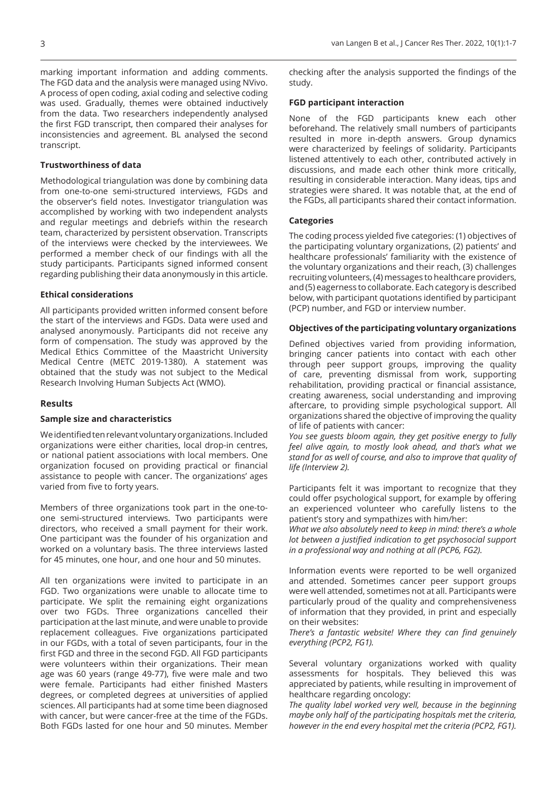marking important information and adding comments. The FGD data and the analysis were managed using NVivo. A process of open coding, axial coding and selective coding was used. Gradually, themes were obtained inductively from the data. Two researchers independently analysed the first FGD transcript, then compared their analyses for inconsistencies and agreement. BL analysed the second transcript.

## **Trustworthiness of data**

Methodological triangulation was done by combining data from one-to-one semi-structured interviews, FGDs and the observer's field notes. Investigator triangulation was accomplished by working with two independent analysts and regular meetings and debriefs within the research team, characterized by persistent observation. Transcripts of the interviews were checked by the interviewees. We performed a member check of our findings with all the study participants. Participants signed informed consent regarding publishing their data anonymously in this article.

## **Ethical considerations**

All participants provided written informed consent before the start of the interviews and FGDs. Data were used and analysed anonymously. Participants did not receive any form of compensation. The study was approved by the Medical Ethics Committee of the Maastricht University Medical Centre (METC 2019-1380). A statement was obtained that the study was not subject to the Medical Research Involving Human Subjects Act (WMO).

## **Results**

#### **Sample size and characteristics**

We identified ten relevant voluntary organizations. Included organizations were either charities, local drop-in centres, or national patient associations with local members. One organization focused on providing practical or financial assistance to people with cancer. The organizations' ages varied from five to forty years.

Members of three organizations took part in the one-toone semi-structured interviews. Two participants were directors, who received a small payment for their work. One participant was the founder of his organization and worked on a voluntary basis. The three interviews lasted for 45 minutes, one hour, and one hour and 50 minutes.

All ten organizations were invited to participate in an FGD. Two organizations were unable to allocate time to participate. We split the remaining eight organizations over two FGDs. Three organizations cancelled their participation at the last minute, and were unable to provide replacement colleagues. Five organizations participated in our FGDs, with a total of seven participants, four in the first FGD and three in the second FGD. All FGD participants were volunteers within their organizations. Their mean age was 60 years (range 49-77), five were male and two were female. Participants had either finished Masters degrees, or completed degrees at universities of applied sciences. All participants had at some time been diagnosed with cancer, but were cancer-free at the time of the FGDs. Both FGDs lasted for one hour and 50 minutes. Member

checking after the analysis supported the findings of the study.

### **FGD participant interaction**

None of the FGD participants knew each other beforehand. The relatively small numbers of participants resulted in more in-depth answers. Group dynamics were characterized by feelings of solidarity. Participants listened attentively to each other, contributed actively in discussions, and made each other think more critically, resulting in considerable interaction. Many ideas, tips and strategies were shared. It was notable that, at the end of the FGDs, all participants shared their contact information.

## **Categories**

The coding process yielded five categories: (1) objectives of the participating voluntary organizations, (2) patients' and healthcare professionals' familiarity with the existence of the voluntary organizations and their reach, (3) challenges recruiting volunteers, (4) messages to healthcare providers, and (5) eagerness to collaborate. Each category is described below, with participant quotations identified by participant (PCP) number, and FGD or interview number.

## **Objectives of the participating voluntary organizations**

Defined objectives varied from providing information, bringing cancer patients into contact with each other through peer support groups, improving the quality of care, preventing dismissal from work, supporting rehabilitation, providing practical or financial assistance, creating awareness, social understanding and improving aftercare, to providing simple psychological support. All organizations shared the objective of improving the quality of life of patients with cancer:

*You see guests bloom again, they get positive energy to fully feel alive again, to mostly look ahead, and that's what we stand for as well of course, and also to improve that quality of life (Interview 2).*

Participants felt it was important to recognize that they could offer psychological support, for example by offering an experienced volunteer who carefully listens to the patient's story and sympathizes with him/her:

*What we also absolutely need to keep in mind: there's a whole lot between a justified indication to get psychosocial support in a professional way and nothing at all (PCP6, FG2).*

Information events were reported to be well organized and attended. Sometimes cancer peer support groups were well attended, sometimes not at all. Participants were particularly proud of the quality and comprehensiveness of information that they provided, in print and especially on their websites:

*There's a fantastic website! Where they can find genuinely everything (PCP2, FG1).*

Several voluntary organizations worked with quality assessments for hospitals. They believed this was appreciated by patients, while resulting in improvement of healthcare regarding oncology:

*The quality label worked very well, because in the beginning maybe only half of the participating hospitals met the criteria, however in the end every hospital met the criteria (PCP2, FG1).*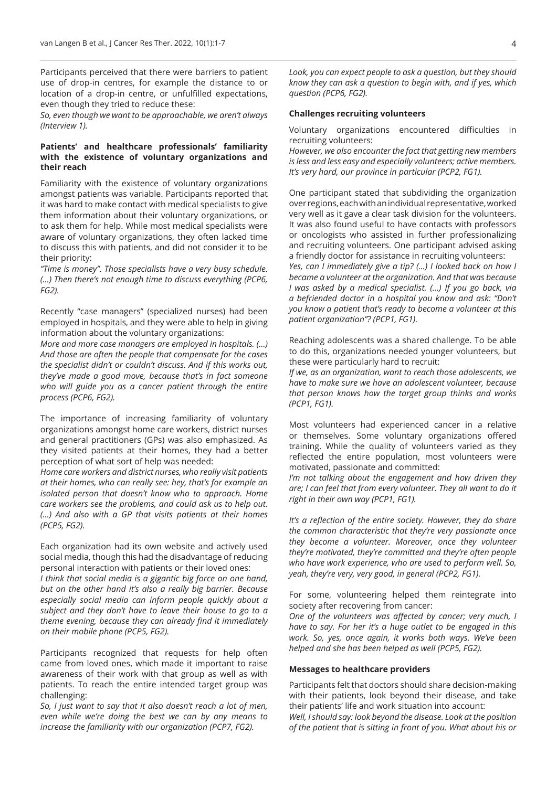Participants perceived that there were barriers to patient use of drop-in centres, for example the distance to or location of a drop-in centre, or unfulfilled expectations, even though they tried to reduce these:

*So, even though we want to be approachable, we aren't always (Interview 1).*

## **Patients' and healthcare professionals' familiarity with the existence of voluntary organizations and their reach**

Familiarity with the existence of voluntary organizations amongst patients was variable. Participants reported that it was hard to make contact with medical specialists to give them information about their voluntary organizations, or to ask them for help. While most medical specialists were aware of voluntary organizations, they often lacked time to discuss this with patients, and did not consider it to be their priority:

*"Time is money". Those specialists have a very busy schedule. (…) Then there's not enough time to discuss everything (PCP6, FG2).*

Recently "case managers" (specialized nurses) had been employed in hospitals, and they were able to help in giving information about the voluntary organizations:

*More and more case managers are employed in hospitals. (…) And those are often the people that compensate for the cases the specialist didn't or couldn't discuss. And if this works out, they've made a good move, because that's in fact someone who will guide you as a cancer patient through the entire process (PCP6, FG2).*

The importance of increasing familiarity of voluntary organizations amongst home care workers, district nurses and general practitioners (GPs) was also emphasized. As they visited patients at their homes, they had a better perception of what sort of help was needed:

*Home care workers and district nurses, who really visit patients at their homes, who can really see: hey, that's for example an isolated person that doesn't know who to approach. Home care workers see the problems, and could ask us to help out. (…) And also with a GP that visits patients at their homes (PCP5, FG2).*

Each organization had its own website and actively used social media, though this had the disadvantage of reducing personal interaction with patients or their loved ones:

*I think that social media is a gigantic big force on one hand, but on the other hand it's also a really big barrier. Because especially social media can inform people quickly about a subject and they don't have to leave their house to go to a theme evening, because they can already find it immediately on their mobile phone (PCP5, FG2).*

Participants recognized that requests for help often came from loved ones, which made it important to raise awareness of their work with that group as well as with patients. To reach the entire intended target group was challenging:

*So, I just want to say that it also doesn't reach a lot of men, even while we're doing the best we can by any means to increase the familiarity with our organization (PCP7, FG2).*

*Look, you can expect people to ask a question, but they should know they can ask a question to begin with, and if yes, which question (PCP6, FG2).*

## **Challenges recruiting volunteers**

Voluntary organizations encountered difficulties in recruiting volunteers:

*However, we also encounter the fact that getting new members is less and less easy and especially volunteers; active members. It's very hard, our province in particular (PCP2, FG1).*

One participant stated that subdividing the organization over regions, each with an individual representative, worked very well as it gave a clear task division for the volunteers. It was also found useful to have contacts with professors or oncologists who assisted in further professionalizing and recruiting volunteers. One participant advised asking a friendly doctor for assistance in recruiting volunteers: *Yes, can I immediately give a tip? (…) I looked back on how I became a volunteer at the organization. And that was because I was asked by a medical specialist. (…) If you go back, via a befriended doctor in a hospital you know and ask: "Don't you know a patient that's ready to become a volunteer at this patient organization"? (PCP1, FG1).*

Reaching adolescents was a shared challenge. To be able to do this, organizations needed younger volunteers, but these were particularly hard to recruit:

*If we, as an organization, want to reach those adolescents, we have to make sure we have an adolescent volunteer, because that person knows how the target group thinks and works (PCP1, FG1).*

Most volunteers had experienced cancer in a relative or themselves. Some voluntary organizations offered training. While the quality of volunteers varied as they reflected the entire population, most volunteers were motivated, passionate and committed:

*I'm not talking about the engagement and how driven they are; I can feel that from every volunteer. They all want to do it right in their own way (PCP1, FG1).*

*It's a reflection of the entire society. However, they do share the common characteristic that they're very passionate once they become a volunteer. Moreover, once they volunteer they're motivated, they're committed and they're often people who have work experience, who are used to perform well. So, yeah, they're very, very good, in general (PCP2, FG1).*

For some, volunteering helped them reintegrate into society after recovering from cancer:

*One of the volunteers was affected by cancer; very much, I have to say. For her it's a huge outlet to be engaged in this work. So, yes, once again, it works both ways. We've been helped and she has been helped as well (PCP5, FG2).*

## **Messages to healthcare providers**

Participants felt that doctors should share decision-making with their patients, look beyond their disease, and take their patients' life and work situation into account: *Well, I should say: look beyond the disease. Look at the position of the patient that is sitting in front of you. What about his or*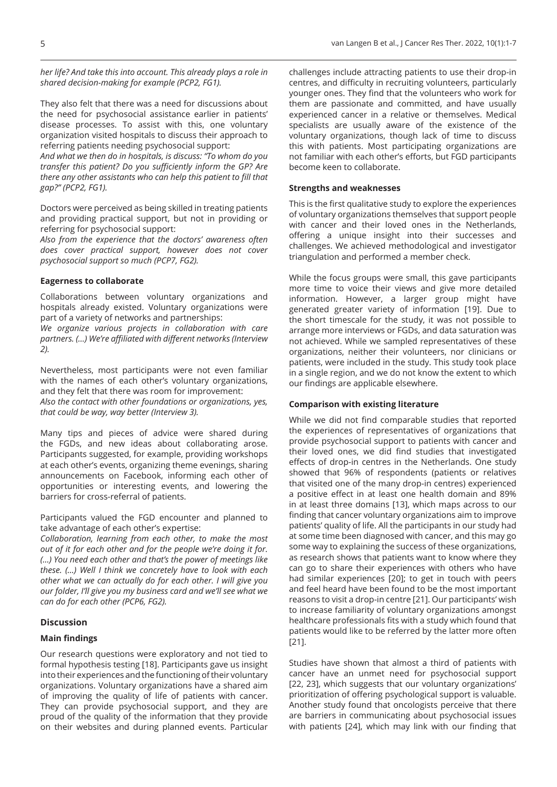*her life? And take this into account. This already plays a role in shared decision-making for example (PCP2, FG1).*

They also felt that there was a need for discussions about the need for psychosocial assistance earlier in patients' disease processes. To assist with this, one voluntary organization visited hospitals to discuss their approach to referring patients needing psychosocial support:

*And what we then do in hospitals, is discuss: "To whom do you transfer this patient? Do you sufficiently inform the GP? Are there any other assistants who can help this patient to fill that gap?" (PCP2, FG1).*

Doctors were perceived as being skilled in treating patients and providing practical support, but not in providing or referring for psychosocial support:

*Also from the experience that the doctors' awareness often does cover practical support, however does not cover psychosocial support so much (PCP7, FG2).*

## **Eagerness to collaborate**

Collaborations between voluntary organizations and hospitals already existed. Voluntary organizations were part of a variety of networks and partnerships:

*We organize various projects in collaboration with care partners. (…) We're affiliated with different networks (Interview 2).*

Nevertheless, most participants were not even familiar with the names of each other's voluntary organizations, and they felt that there was room for improvement: *Also the contact with other foundations or organizations, yes, that could be way, way better (Interview 3).*

Many tips and pieces of advice were shared during the FGDs, and new ideas about collaborating arose. Participants suggested, for example, providing workshops at each other's events, organizing theme evenings, sharing announcements on Facebook, informing each other of opportunities or interesting events, and lowering the barriers for cross-referral of patients.

Participants valued the FGD encounter and planned to take advantage of each other's expertise:

*Collaboration, learning from each other, to make the most out of it for each other and for the people we're doing it for. (…) You need each other and that's the power of meetings like these. (…) Well I think we concretely have to look with each other what we can actually do for each other. I will give you our folder, I'll give you my business card and we'll see what we can do for each other (PCP6, FG2).*

## **Discussion**

## **Main findings**

Our research questions were exploratory and not tied to formal hypothesis testing [18]. Participants gave us insight into their experiences and the functioning of their voluntary organizations. Voluntary organizations have a shared aim of improving the quality of life of patients with cancer. They can provide psychosocial support, and they are proud of the quality of the information that they provide on their websites and during planned events. Particular

challenges include attracting patients to use their drop-in centres, and difficulty in recruiting volunteers, particularly younger ones. They find that the volunteers who work for them are passionate and committed, and have usually experienced cancer in a relative or themselves. Medical specialists are usually aware of the existence of the voluntary organizations, though lack of time to discuss this with patients. Most participating organizations are not familiar with each other's efforts, but FGD participants become keen to collaborate.

## **Strengths and weaknesses**

This is the first qualitative study to explore the experiences of voluntary organizations themselves that support people with cancer and their loved ones in the Netherlands, offering a unique insight into their successes and challenges. We achieved methodological and investigator triangulation and performed a member check.

While the focus groups were small, this gave participants more time to voice their views and give more detailed information. However, a larger group might have generated greater variety of information [19]. Due to the short timescale for the study, it was not possible to arrange more interviews or FGDs, and data saturation was not achieved. While we sampled representatives of these organizations, neither their volunteers, nor clinicians or patients, were included in the study. This study took place in a single region, and we do not know the extent to which our findings are applicable elsewhere.

## **Comparison with existing literature**

While we did not find comparable studies that reported the experiences of representatives of organizations that provide psychosocial support to patients with cancer and their loved ones, we did find studies that investigated effects of drop-in centres in the Netherlands. One study showed that 96% of respondents (patients or relatives that visited one of the many drop-in centres) experienced a positive effect in at least one health domain and 89% in at least three domains [13], which maps across to our finding that cancer voluntary organizations aim to improve patients' quality of life. All the participants in our study had at some time been diagnosed with cancer, and this may go some way to explaining the success of these organizations, as research shows that patients want to know where they can go to share their experiences with others who have had similar experiences [20]; to get in touch with peers and feel heard have been found to be the most important reasons to visit a drop-in centre [21]. Our participants' wish to increase familiarity of voluntary organizations amongst healthcare professionals fits with a study which found that patients would like to be referred by the latter more often [21].

Studies have shown that almost a third of patients with cancer have an unmet need for psychosocial support [22, 23], which suggests that our voluntary organizations' prioritization of offering psychological support is valuable. Another study found that oncologists perceive that there are barriers in communicating about psychosocial issues with patients [24], which may link with our finding that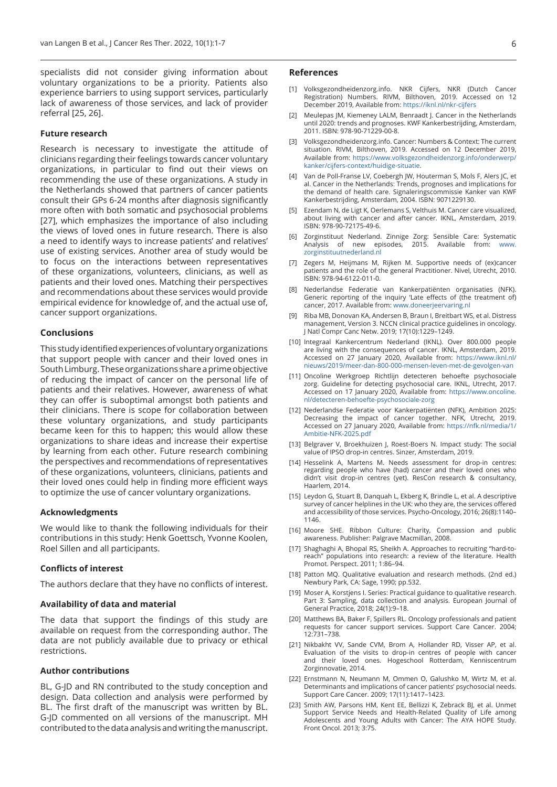specialists did not consider giving information about voluntary organizations to be a priority. Patients also experience barriers to using support services, particularly lack of awareness of those services, and lack of provider referral [25, 26].

## **Future research**

Research is necessary to investigate the attitude of clinicians regarding their feelings towards cancer voluntary organizations, in particular to find out their views on recommending the use of these organizations. A study in the Netherlands showed that partners of cancer patients consult their GPs 6-24 months after diagnosis significantly more often with both somatic and psychosocial problems [27], which emphasizes the importance of also including the views of loved ones in future research. There is also a need to identify ways to increase patients' and relatives' use of existing services. Another area of study would be to focus on the interactions between representatives of these organizations, volunteers, clinicians, as well as patients and their loved ones. Matching their perspectives and recommendations about these services would provide empirical evidence for knowledge of, and the actual use of, cancer support organizations.

## **Conclusions**

This study identified experiences of voluntary organizations that support people with cancer and their loved ones in South Limburg. These organizations share a prime objective of reducing the impact of cancer on the personal life of patients and their relatives. However, awareness of what they can offer is suboptimal amongst both patients and their clinicians. There is scope for collaboration between these voluntary organizations, and study participants became keen for this to happen; this would allow these organizations to share ideas and increase their expertise by learning from each other. Future research combining the perspectives and recommendations of representatives of these organizations, volunteers, clinicians, patients and their loved ones could help in finding more efficient ways to optimize the use of cancer voluntary organizations.

### **Acknowledgments**

We would like to thank the following individuals for their contributions in this study: Henk Goettsch, Yvonne Koolen, Roel Sillen and all participants.

### **Conflicts of interest**

The authors declare that they have no conflicts of interest.

#### **Availability of data and material**

The data that support the findings of this study are available on request from the corresponding author. The data are not publicly available due to privacy or ethical restrictions.

## **Author contributions**

BL, G-JD and RN contributed to the study conception and design. Data collection and analysis were performed by BL. The first draft of the manuscript was written by BL. G-JD commented on all versions of the manuscript. MH contributed to the data analysis and writing the manuscript.

#### **References**

- [1] Volksgezondheidenzorg.info. NKR Cijfers, NKR (Dutch Cancer Registration) Numbers. RIVM, Bilthoven, 2019. Accessed on 12 December 2019, Available from: <https://iknl.nl/nkr-cijfers>
- [2] Meulepas JM, Kiemeney LALM, Benraadt J. Cancer in the Netherlands until 2020: trends and prognoses. KWF Kankerbestrijding, Amsterdam, 2011. ISBN: 978-90-71229-00-8.
- [3] Volksgezondheidenzorg.info. Cancer: Numbers & Context: The current situation. RIVM, Bilthoven, 2019. Accessed on 12 December 2019, Available from: [https://www.volksgezondheidenzorg.info/onderwerp/](https://www.volksgezondheidenzorg.info/onderwerp/kanker/cijfers-context/huidige-situatie) [kanker/cijfers-context/huidige-situatie](https://www.volksgezondheidenzorg.info/onderwerp/kanker/cijfers-context/huidige-situatie).
- [4] Van de Poll-Franse LV, Coebergh JW, Houterman S, Mols F, Alers JC, et al. Cancer in the Netherlands: Trends, prognoses and implications for the demand of health care. Signaleringscommissie Kanker van KWF Kankerbestrijding, Amsterdam, 2004. ISBN: 9071229130.
- [5] Ezendam N, de Ligt K, Oerlemans S, Velthuis M. Cancer care visualized, about living with cancer and after cancer. IKNL, Amsterdam, 2019. ISBN: 978-90-72175-49-6.
- [6] Zorginstituut Nederland. Zinnige Zorg: Sensible Care: Systematic Analysis of new episodes, 2015. Available from: [www.](http://www.zorginstituutnederland.nl) [zorginstituutnederland.nl](http://www.zorginstituutnederland.nl)
- [7] Zegers M, Heijmans M, Rijken M. Supportive needs of (ex)cancer patients and the role of the general Practitioner. Nivel, Utrecht, 2010. ISBN: 978-94-6122-011-0.
- [8] Nederlandse Federatie van Kankerpatiënten organisaties (NFK). Generic reporting of the inquiry 'Late effects of (the treatment of) cancer, 2017. Available from: [www.doneerjeervaring.nl](http://www.doneerjeervaring.nl)
- [9] Riba MB, Donovan KA, Andersen B, Braun I, Breitbart WS, et al. Distress management, Version 3. NCCN clinical practice guidelines in oncology. J Natl Compr Canc Netw. 2019; 17(10):1229–1249.
- [10] Integraal Kankercentrum Nederland (IKNL). Over 800.000 people are living with the consequences of cancer. IKNL, Amsterdam, 2019. Accessed on 27 January 2020, Available from: [https://www.iknl.nl/](https://www.iknl.nl/nieuws/2019/meer-dan-800-000-mensen-leven-met-de-gevolgen-van) [nieuws/2019/meer-dan-800-000-mensen-leven-met-de-gevolgen-van](https://www.iknl.nl/nieuws/2019/meer-dan-800-000-mensen-leven-met-de-gevolgen-van)
- [11] Oncoline Werkgroep Richtlijn detecteren behoefte psychosociale zorg. Guideline for detecting psychosocial care. IKNL, Utrecht, 2017. Accessed on 17 January 2020, Available from: [https://www.oncoline.](https://www.oncoline.nl/detecteren-behoefte-psychosociale-zorg) [nl/detecteren-behoefte-psychosociale-zorg](https://www.oncoline.nl/detecteren-behoefte-psychosociale-zorg)
- [12] Nederlandse Federatie voor Kankerpatiënten (NFK), Ambition 2025: Decreasing the impact of cancer together. NFK, Utrecht, 2019. Accessed on 27 January 2020, Available from: [https://nfk.nl/media/1/](https://nfk.nl/media/1/Ambitie-NFK-2025.pdf) [Ambitie-NFK-2025.pdf](https://nfk.nl/media/1/Ambitie-NFK-2025.pdf)
- [13] Belgraver V, Broekhuizen J, Roest-Boers N. Impact study: The social value of IPSO drop-in centres. Sinzer, Amsterdam, 2019.
- [14] Hesselink A, Martens M, Needs assessment for drop-in centres: regarding people who have (had) cancer and their loved ones who didn't visit drop-in centres (yet). ResCon research & consultancy, Haarlem, 2014.
- [15] Leydon G, Stuart B, Danquah L, Ekberg K, Brindle L, et al. A descriptive survey of cancer helplines in the UK: who they are, the services offered and accessibility of those services. Psycho-Oncology, 2016; 26(8):1140– 1146.
- [16] Moore SHE. Ribbon Culture: Charity, Compassion and public awareness. Publisher: Palgrave Macmillan, 2008.
- [17] Shaghaghi A, Bhopal RS, Sheikh A. Approaches to recruiting "hard-toreach" populations into research: a review of the literature. Health Promot. Perspect. 2011; 1:86–94.
- [18] Patton MQ. Qualitative evaluation and research methods. (2nd ed.) Newbury Park, CA: Sage, 1990; pp.532.
- [19] Moser A, Korstjens I. Series: Practical guidance to qualitative research. Part 3: Sampling, data collection and analysis. European Journal of General Practice, 2018; 24(1):9–18.
- [20] Matthews BA, Baker F, Spillers RL. Oncology professionals and patient requests for cancer support services. Support Care Cancer. 2004; 12:731–738.
- [21] Nikbakht VV, Sande CVM, Brom A, Hollander RD, Visser AP, et al. Evaluation of the visits to drop-in centres of people with cancer and their loved ones. Hogeschool Rotterdam, Kenniscentrum Zorginnovatie, 2014.
- [22] Ernstmann N, Neumann M, Ommen O, Galushko M, Wirtz M, et al. Determinants and implications of cancer patients' psychosocial needs. Support Care Cancer. 2009; 17(11):1417–1423.
- [23] Smith AW, Parsons HM, Kent EE, Bellizzi K, Zebrack BJ, et al. Unmet Support Service Needs and Health-Related Quality of Life among Adolescents and Young Adults with Cancer: The AYA HOPE Study. Front Oncol. 2013; 3:75.